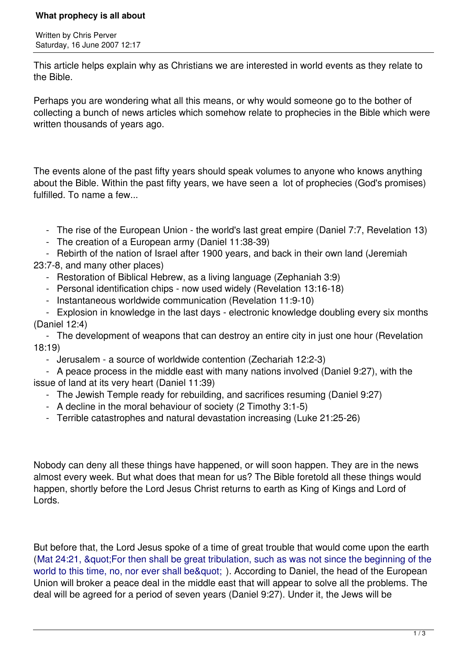## **What prophecy is all about**

Written by Chris Perver Saturday, 16 June 2007 12:17

This article helps explain why as Christians we are interested in world events as they relate to the Bible.

Perhaps you are wondering what all this means, or why would someone go to the bother of collecting a bunch of news articles which somehow relate to prophecies in the Bible which were written thousands of years ago.

The events alone of the past fifty years should speak volumes to anyone who knows anything about the Bible. Within the past fifty years, we have seen a lot of prophecies (God's promises) fulfilled. To name a few...

- The rise of the European Union the world's last great empire (Daniel 7:7, Revelation 13)
- The creation of a European army (Daniel 11:38-39)

- Rebirth of the nation of Israel after 1900 years, and back in their own land (Jeremiah

- 23:7-8, and many other places)
	- Restoration of Biblical Hebrew, as a living language (Zephaniah 3:9)
	- Personal identification chips now used widely (Revelation 13:16-18)
	- Instantaneous worldwide communication (Revelation 11:9-10)

 - Explosion in knowledge in the last days - electronic knowledge doubling every six months (Daniel 12:4)

 - The development of weapons that can destroy an entire city in just one hour (Revelation 18:19)

- Jerusalem - a source of worldwide contention (Zechariah 12:2-3)

 - A peace process in the middle east with many nations involved (Daniel 9:27), with the issue of land at its very heart (Daniel 11:39)

- The Jewish Temple ready for rebuilding, and sacrifices resuming (Daniel 9:27)
- A decline in the moral behaviour of society (2 Timothy 3:1-5)
- Terrible catastrophes and natural devastation increasing (Luke 21:25-26)

Nobody can deny all these things have happened, or will soon happen. They are in the news almost every week. But what does that mean for us? The Bible foretold all these things would happen, shortly before the Lord Jesus Christ returns to earth as King of Kings and Lord of Lords.

But before that, the Lord Jesus spoke of a time of great trouble that would come upon the earth (Mat 24:21, & quot; For then shall be great tribulation, such as was not since the beginning of the world to this time, no, nor ever shall be & quot; ). According to Daniel, the head of the European Union will broker a peace deal in the middle east that will appear to solve all the problems. The deal will be agreed for a period of seven years (Daniel 9:27). Under it, the Jews will be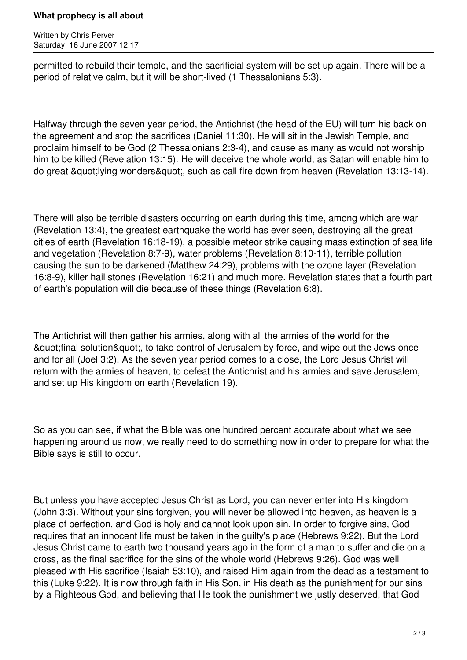## **What prophecy is all about**

Written by Chris Perver Saturday, 16 June 2007 12:17

permitted to rebuild their temple, and the sacrificial system will be set up again. There will be a period of relative calm, but it will be short-lived (1 Thessalonians 5:3).

Halfway through the seven year period, the Antichrist (the head of the EU) will turn his back on the agreement and stop the sacrifices (Daniel 11:30). He will sit in the Jewish Temple, and proclaim himself to be God (2 Thessalonians 2:3-4), and cause as many as would not worship him to be killed (Revelation 13:15). He will deceive the whole world, as Satan will enable him to do great & quot: Iving wonders & quot:, such as call fire down from heaven (Revelation 13:13-14).

There will also be terrible disasters occurring on earth during this time, among which are war (Revelation 13:4), the greatest earthquake the world has ever seen, destroying all the great cities of earth (Revelation 16:18-19), a possible meteor strike causing mass extinction of sea life and vegetation (Revelation 8:7-9), water problems (Revelation 8:10-11), terrible pollution causing the sun to be darkened (Matthew 24:29), problems with the ozone layer (Revelation 16:8-9), killer hail stones (Revelation 16:21) and much more. Revelation states that a fourth part of earth's population will die because of these things (Revelation 6:8).

The Antichrist will then gather his armies, along with all the armies of the world for the & aupt; final solution & quot;, to take control of Jerusalem by force, and wipe out the Jews once and for all (Joel 3:2). As the seven year period comes to a close, the Lord Jesus Christ will return with the armies of heaven, to defeat the Antichrist and his armies and save Jerusalem, and set up His kingdom on earth (Revelation 19).

So as you can see, if what the Bible was one hundred percent accurate about what we see happening around us now, we really need to do something now in order to prepare for what the Bible says is still to occur.

But unless you have accepted Jesus Christ as Lord, you can never enter into His kingdom (John 3:3). Without your sins forgiven, you will never be allowed into heaven, as heaven is a place of perfection, and God is holy and cannot look upon sin. In order to forgive sins, God requires that an innocent life must be taken in the guilty's place (Hebrews 9:22). But the Lord Jesus Christ came to earth two thousand years ago in the form of a man to suffer and die on a cross, as the final sacrifice for the sins of the whole world (Hebrews 9:26). God was well pleased with His sacrifice (Isaiah 53:10), and raised Him again from the dead as a testament to this (Luke 9:22). It is now through faith in His Son, in His death as the punishment for our sins by a Righteous God, and believing that He took the punishment we justly deserved, that God